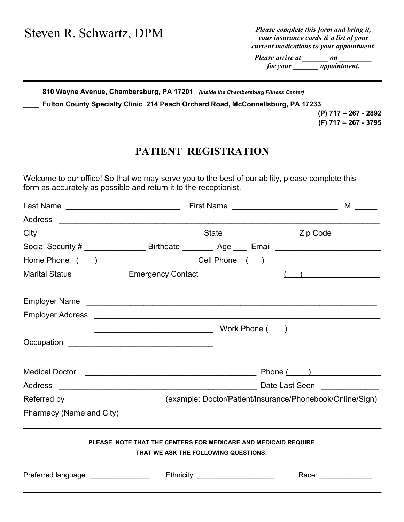| Steven R. Schwartz, DPM | Please complete this form and bring it, |  |  |
|-------------------------|-----------------------------------------|--|--|
|                         | your insurance cards & a list of your   |  |  |

current medications to your appointment.

Please arrive at \_\_\_\_\_\_\_\_\_ on for your \_\_\_\_\_\_\_ appointment.

810 Wayne Avenue, Chambersburg, PA 17201 (inside the Chambersburg Fitness Center)

\_\_\_\_ Fulton County Specialty Clinic 214 Peach Orchard Road, McConnellsburg, PA 17233

(P) 717 – 267 - 2892 (F) 717 – 267 - 3795

## PATIENT REGISTRATION

Welcome to our office! So that we may serve you to the best of our ability, please complete this form as accurately as possible and return it to the receptionist.

| Last Name _______________________________                                                                                                                                                                                            | First Name _______________________________                                                                                                                                                                                     | $M \longrightarrow$   |
|--------------------------------------------------------------------------------------------------------------------------------------------------------------------------------------------------------------------------------------|--------------------------------------------------------------------------------------------------------------------------------------------------------------------------------------------------------------------------------|-----------------------|
|                                                                                                                                                                                                                                      |                                                                                                                                                                                                                                |                       |
|                                                                                                                                                                                                                                      |                                                                                                                                                                                                                                |                       |
|                                                                                                                                                                                                                                      | Social Security # ___________________Birthdate ___________ Age ____ Email _________________________                                                                                                                            |                       |
|                                                                                                                                                                                                                                      | Home Phone () Cell Phone () Cell Dhone () Cell Phone () and () and () and () are () and () and () are () and () and () are () are () and () are () are () and () are () are () and () are () are () are () are () are () are ( |                       |
|                                                                                                                                                                                                                                      | Marital Status _______________ Emergency Contact _______________________________                                                                                                                                               |                       |
|                                                                                                                                                                                                                                      |                                                                                                                                                                                                                                |                       |
|                                                                                                                                                                                                                                      |                                                                                                                                                                                                                                |                       |
|                                                                                                                                                                                                                                      |                                                                                                                                                                                                                                |                       |
|                                                                                                                                                                                                                                      |                                                                                                                                                                                                                                |                       |
|                                                                                                                                                                                                                                      |                                                                                                                                                                                                                                |                       |
|                                                                                                                                                                                                                                      |                                                                                                                                                                                                                                |                       |
|                                                                                                                                                                                                                                      | Referred by ____________________ (example: Doctor/Patient/Insurance/Phonebook/Online/Sign)                                                                                                                                     |                       |
|                                                                                                                                                                                                                                      |                                                                                                                                                                                                                                |                       |
|                                                                                                                                                                                                                                      | PLEASE NOTE THAT THE CENTERS FOR MEDICARE AND MEDICAID REQUIRE<br>THAT WE ASK THE FOLLOWING QUESTIONS:                                                                                                                         |                       |
| Preferred language: <u>2000 magazines and the set of the set of the set of the set of the set of the set of the set of the set of the set of the set of the set of the set of the set of the set of the set of the set of the se</u> | Ethnicity: ______________________                                                                                                                                                                                              | Race: _______________ |
|                                                                                                                                                                                                                                      |                                                                                                                                                                                                                                |                       |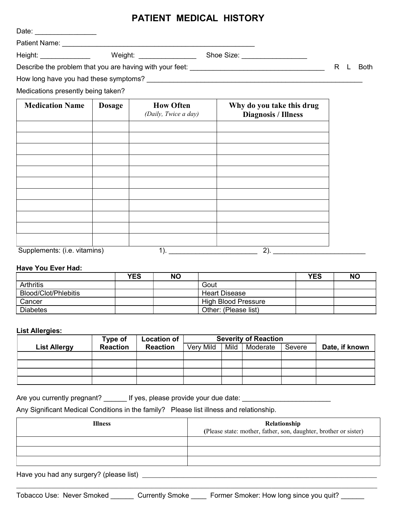## PATIENT MEDICAL HISTORY

|                                    |               | I AIILNI MEDIVAL INVIVNI                 |                                                         |                |
|------------------------------------|---------------|------------------------------------------|---------------------------------------------------------|----------------|
|                                    |               |                                          |                                                         |                |
|                                    |               |                                          |                                                         |                |
| Height: _______________            |               |                                          |                                                         |                |
|                                    |               |                                          |                                                         | R<br>Both<br>L |
|                                    |               |                                          |                                                         |                |
| Medications presently being taken? |               |                                          |                                                         |                |
| <b>Medication Name</b>             | <b>Dosage</b> | <b>How Often</b><br>(Daily, Twice a day) | Why do you take this drug<br><b>Diagnosis / Illness</b> |                |
|                                    |               |                                          |                                                         |                |
|                                    |               |                                          |                                                         |                |
|                                    |               |                                          |                                                         |                |
|                                    |               |                                          |                                                         |                |
|                                    |               |                                          |                                                         |                |

Supplements: (i.e. vitamins) 1). \_\_\_\_\_\_\_\_\_\_\_\_\_\_\_\_\_\_\_\_\_\_\_ 2). \_\_\_\_\_\_\_\_\_\_\_\_\_\_\_\_\_\_\_\_\_\_\_\_

## Have You Ever Had:

|                      | YES | <b>NO</b> |                            | <b>YES</b> | <b>NO</b> |
|----------------------|-----|-----------|----------------------------|------------|-----------|
| <b>Arthritis</b>     |     |           | Gout                       |            |           |
| Blood/Clot/Phlebitis |     |           | <b>Heart Disease</b>       |            |           |
| Cancer               |     |           | <b>High Blood Pressure</b> |            |           |
| <b>Diabetes</b>      |     |           | Other: (Please list)       |            |           |

## List Allergies:

|                     | Type of         | <b>Location of</b> | <b>Severity of Reaction</b> |      |          |        |                |
|---------------------|-----------------|--------------------|-----------------------------|------|----------|--------|----------------|
| <b>List Allergy</b> | <b>Reaction</b> | <b>Reaction</b>    | Very Mild                   | Mild | Moderate | Severe | Date, if known |
|                     |                 |                    |                             |      |          |        |                |
|                     |                 |                    |                             |      |          |        |                |
|                     |                 |                    |                             |      |          |        |                |
|                     |                 |                    |                             |      |          |        |                |

Are you currently pregnant? \_\_\_\_\_\_ If yes, please provide your due date: \_\_\_\_\_\_\_\_\_\_\_\_\_\_\_\_\_\_\_\_\_\_\_\_\_\_

Any Significant Medical Conditions in the family? Please list illness and relationship.

| <b>Illness</b>                          | Relationship                                                     |
|-----------------------------------------|------------------------------------------------------------------|
|                                         | (Please state: mother, father, son, daughter, brother or sister) |
|                                         |                                                                  |
|                                         |                                                                  |
|                                         |                                                                  |
| Have you had any surgery? (please list) |                                                                  |

 $\mathcal{L}_\text{max} = \mathcal{L}_\text{max} = \mathcal{L}_\text{max} = \mathcal{L}_\text{max} = \mathcal{L}_\text{max} = \mathcal{L}_\text{max} = \mathcal{L}_\text{max} = \mathcal{L}_\text{max} = \mathcal{L}_\text{max} = \mathcal{L}_\text{max} = \mathcal{L}_\text{max} = \mathcal{L}_\text{max} = \mathcal{L}_\text{max} = \mathcal{L}_\text{max} = \mathcal{L}_\text{max} = \mathcal{L}_\text{max} = \mathcal{L}_\text{max} = \mathcal{L}_\text{max} = \mathcal{$